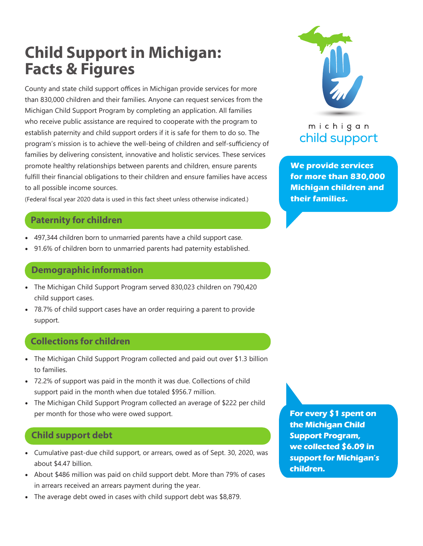# **Child Support in Michigan: Facts & Figures**

County and state child support offices in Michigan provide services for more than 830,000 children and their families. Anyone can request services from the Michigan Child Support Program by completing an application. All families who receive public assistance are required to cooperate with the program to establish paternity and child support orders if it is safe for them to do so. The program's mission is to achieve the well-being of children and self-sufficiency of families by delivering consistent, innovative and holistic services. These services promote healthy relationships between parents and children, ensure parents fulfill their financial obligations to their children and ensure families have access to all possible income sources.

(Federal fiscal year 2020 data is used in this fact sheet unless otherwise indicated.)

### **Paternity for children**

- 497,344 children born to unmarried parents have a child support case.
- 91.6% of children born to unmarried parents had paternity established.

## **Demographic information**

- The Michigan Child Support Program served 830,023 children on 790,420 child support cases.
- 78.7% of child support cases have an order requiring a parent to provide support.

## **Collections for children**

- The Michigan Child Support Program collected and paid out over \$1.3 billion to families.
- 72.2% of support was paid in the month it was due. Collections of child support paid in the month when due totaled \$956.7 million.
- The Michigan Child Support Program collected an average of \$222 per child per month for those who were owed support.

## **Child support debt**

- Cumulative past-due child support, or arrears, owed as of Sept. 30, 2020, was about \$4.47 billion.
- About \$486 million was paid on child support debt. More than 79% of cases in arrears received an arrears payment during the year.
- The average debt owed in cases with child support debt was \$8,879.

**For every \$1 spent on the Michigan Child Support Program, we collected \$6.09 in support for Michigan's children.**



## michigan child support

**We provide services for more than 830,000 Michigan children and their families.**